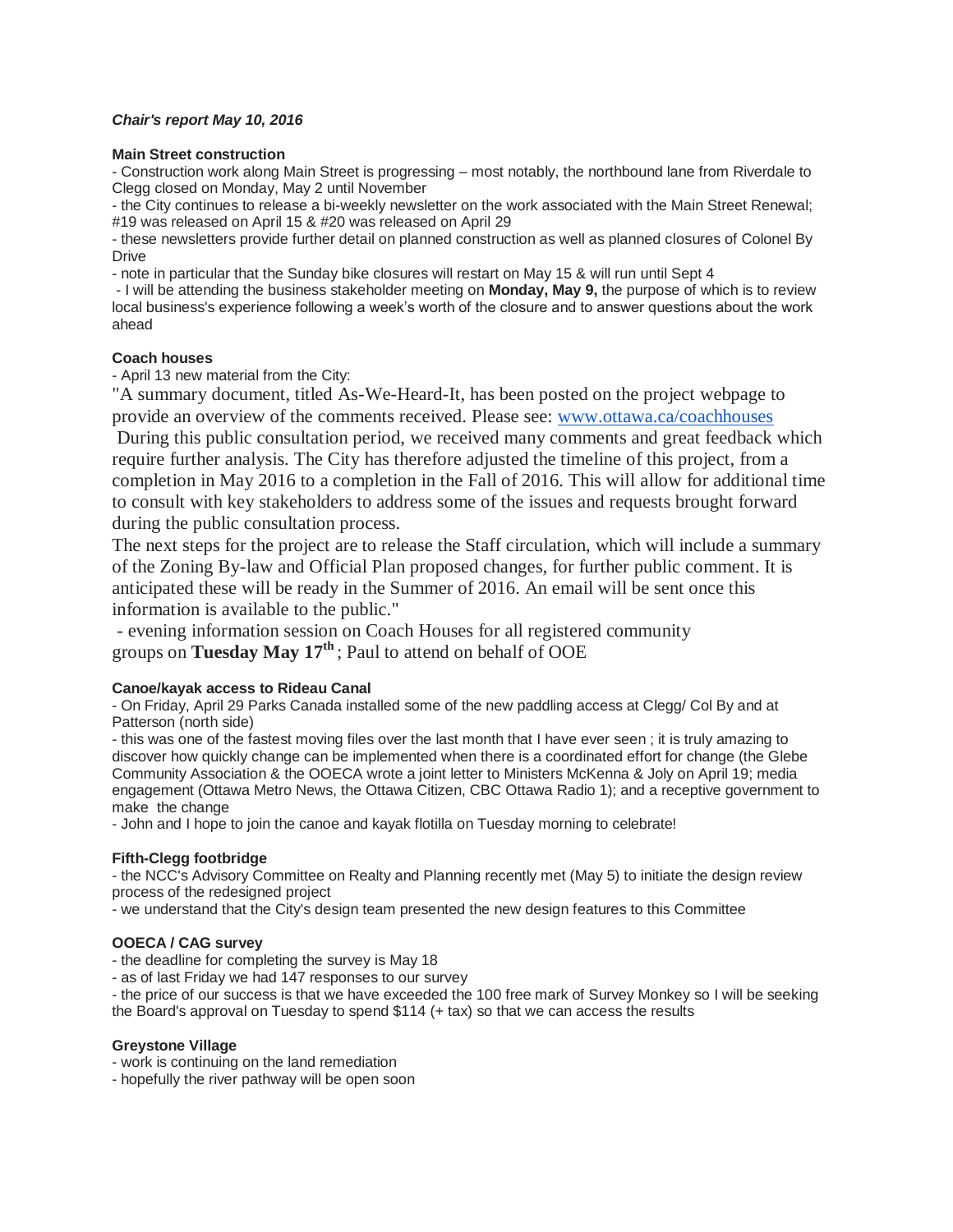# *Chair's report May 10, 2016*

#### **Main Street construction**

- Construction work along Main Street is progressing – most notably, the northbound lane from Riverdale to Clegg closed on Monday, May 2 until November

- the City continues to release a bi-weekly newsletter on the work associated with the Main Street Renewal; #19 was released on April 15 & #20 was released on April 29

- these newsletters provide further detail on planned construction as well as planned closures of Colonel By Drive

- note in particular that the Sunday bike closures will restart on May 15 & will run until Sept 4

- I will be attending the business stakeholder meeting on **Monday, May 9,** the purpose of which is to review local business's experience following a week's worth of the closure and to answer questions about the work ahead

# **Coach houses**

- April 13 new material from the City:

"A summary document, titled As-We-Heard-It, has been posted on the project webpage to provide an overview of the comments received. Please see: [www.ottawa.ca/coachhouses](https://w6.ottawa.ca/owa/redir.aspx?REF=INgSavva3i6eJqBSL7H3PRnopgrMPmjWwPKLFxKowtpty-jwbFnTCAFodHRwOi8vd3d3Lm90dGF3YS5jYS9jb2FjaGhvdXNlcw..)

During this public consultation period, we received many comments and great feedback which require further analysis. The City has therefore adjusted the timeline of this project, from a completion in May 2016 to a completion in the Fall of 2016. This will allow for additional time to consult with key stakeholders to address some of the issues and requests brought forward during the public consultation process.

The next steps for the project are to release the Staff circulation, which will include a summary of the Zoning By-law and Official Plan proposed changes, for further public comment. It is anticipated these will be ready in the Summer of 2016. An email will be sent once this information is available to the public."

- evening information session on Coach Houses for all registered community groups on **Tuesday May 17th** ; Paul to attend on behalf of OOE

# **Canoe/kayak access to Rideau Canal**

- On Friday, April 29 Parks Canada installed some of the new paddling access at Clegg/ Col By and at Patterson (north side)

- this was one of the fastest moving files over the last month that I have ever seen ; it is truly amazing to discover how quickly change can be implemented when there is a coordinated effort for change (the Glebe Community Association & the OOECA wrote a joint letter to Ministers McKenna & Joly on April 19; media engagement (Ottawa Metro News, the Ottawa Citizen, CBC Ottawa Radio 1); and a receptive government to make the change

- John and I hope to join the canoe and kayak flotilla on Tuesday morning to celebrate!

# **Fifth-Clegg footbridge**

- the NCC's Advisory Committee on Realty and Planning recently met (May 5) to initiate the design review process of the redesigned project

- we understand that the City's design team presented the new design features to this Committee

# **OOECA / CAG survey**

- the deadline for completing the survey is May 18
- as of last Friday we had 147 responses to our survey

- the price of our success is that we have exceeded the 100 free mark of Survey Monkey so I will be seeking the Board's approval on Tuesday to spend \$114 (+ tax) so that we can access the results

# **Greystone Village**

- work is continuing on the land remediation
- hopefully the river pathway will be open soon